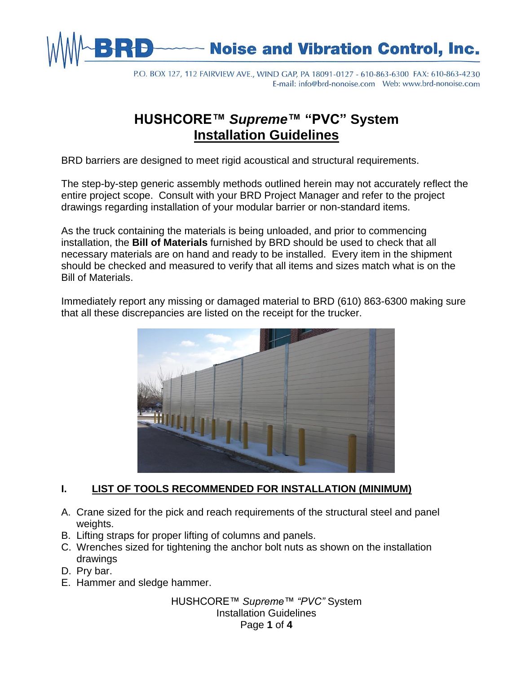

# **Noise and Vibration Control, Inc.**

P.O. BOX 127, 112 FAIRVIEW AVE., WIND GAP, PA 18091-0127 - 610-863-6300 FAX: 610-863-4230 

# **HUSHCORE™** *Supreme***™ "PVC" System Installation Guidelines**

BRD barriers are designed to meet rigid acoustical and structural requirements.

The step-by-step generic assembly methods outlined herein may not accurately reflect the entire project scope. Consult with your BRD Project Manager and refer to the project drawings regarding installation of your modular barrier or non-standard items.

As the truck containing the materials is being unloaded, and prior to commencing installation, the **Bill of Materials** furnished by BRD should be used to check that all necessary materials are on hand and ready to be installed. Every item in the shipment should be checked and measured to verify that all items and sizes match what is on the Bill of Materials.

Immediately report any missing or damaged material to BRD (610) 863-6300 making sure that all these discrepancies are listed on the receipt for the trucker.



#### **I. LIST OF TOOLS RECOMMENDED FOR INSTALLATION (MINIMUM)**

- A. Crane sized for the pick and reach requirements of the structural steel and panel weights.
- B. Lifting straps for proper lifting of columns and panels.
- C. Wrenches sized for tightening the anchor bolt nuts as shown on the installation drawings
- D. Pry bar.
- E. Hammer and sledge hammer.

HUSHCORE™ *Supreme™ "PVC"* System Installation Guidelines Page **1** of **4**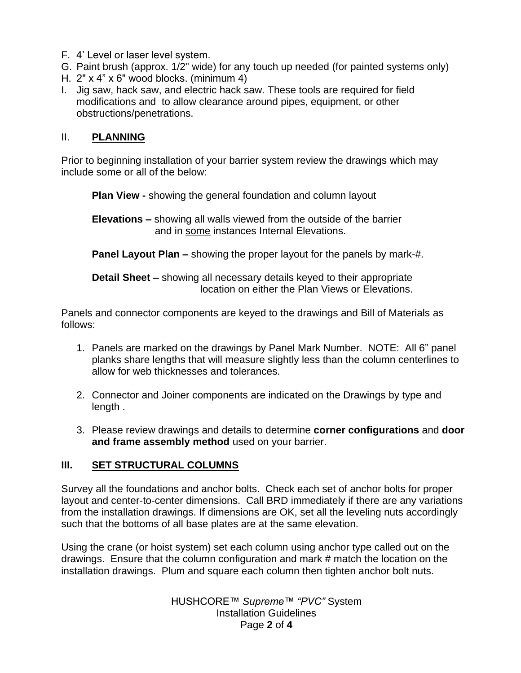- F. 4' Level or laser level system.
- G. Paint brush (approx. 1/2" wide) for any touch up needed (for painted systems only)
- H. 2" x 4" x 6" wood blocks. (minimum 4)
- I. Jig saw, hack saw, and electric hack saw. These tools are required for field modifications and to allow clearance around pipes, equipment, or other obstructions/penetrations.

#### II. **PLANNING**

Prior to beginning installation of your barrier system review the drawings which may include some or all of the below:

**Plan View -** showing the general foundation and column layout

**Elevations –** showing all walls viewed from the outside of the barrier and in some instances Internal Elevations.

**Panel Layout Plan –** showing the proper layout for the panels by mark-#.

**Detail Sheet –** showing all necessary details keyed to their appropriate location on either the Plan Views or Elevations.

Panels and connector components are keyed to the drawings and Bill of Materials as follows:

- 1. Panels are marked on the drawings by Panel Mark Number. NOTE: All 6" panel planks share lengths that will measure slightly less than the column centerlines to allow for web thicknesses and tolerances.
- 2. Connector and Joiner components are indicated on the Drawings by type and length .
- 3. Please review drawings and details to determine **corner configurations** and **door and frame assembly method** used on your barrier.

### **III. SET STRUCTURAL COLUMNS**

Survey all the foundations and anchor bolts. Check each set of anchor bolts for proper layout and center-to-center dimensions. Call BRD immediately if there are any variations from the installation drawings. If dimensions are OK, set all the leveling nuts accordingly such that the bottoms of all base plates are at the same elevation.

Using the crane (or hoist system) set each column using anchor type called out on the drawings. Ensure that the column configuration and mark # match the location on the installation drawings. Plum and square each column then tighten anchor bolt nuts.

> HUSHCORE™ *Supreme™ "PVC"* System Installation Guidelines Page **2** of **4**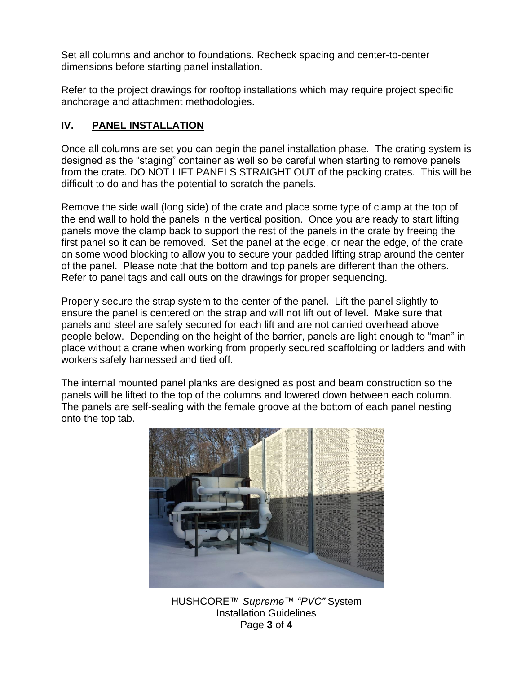Set all columns and anchor to foundations. Recheck spacing and center-to-center dimensions before starting panel installation.

Refer to the project drawings for rooftop installations which may require project specific anchorage and attachment methodologies.

## **IV. PANEL INSTALLATION**

Once all columns are set you can begin the panel installation phase. The crating system is designed as the "staging" container as well so be careful when starting to remove panels from the crate. DO NOT LIFT PANELS STRAIGHT OUT of the packing crates. This will be difficult to do and has the potential to scratch the panels.

Remove the side wall (long side) of the crate and place some type of clamp at the top of the end wall to hold the panels in the vertical position. Once you are ready to start lifting panels move the clamp back to support the rest of the panels in the crate by freeing the first panel so it can be removed. Set the panel at the edge, or near the edge, of the crate on some wood blocking to allow you to secure your padded lifting strap around the center of the panel. Please note that the bottom and top panels are different than the others. Refer to panel tags and call outs on the drawings for proper sequencing.

Properly secure the strap system to the center of the panel. Lift the panel slightly to ensure the panel is centered on the strap and will not lift out of level. Make sure that panels and steel are safely secured for each lift and are not carried overhead above people below. Depending on the height of the barrier, panels are light enough to "man" in place without a crane when working from properly secured scaffolding or ladders and with workers safely harnessed and tied off.

The internal mounted panel planks are designed as post and beam construction so the panels will be lifted to the top of the columns and lowered down between each column. The panels are self-sealing with the female groove at the bottom of each panel nesting onto the top tab.



HUSHCORE™ *Supreme™ "PVC"* System Installation Guidelines Page **3** of **4**